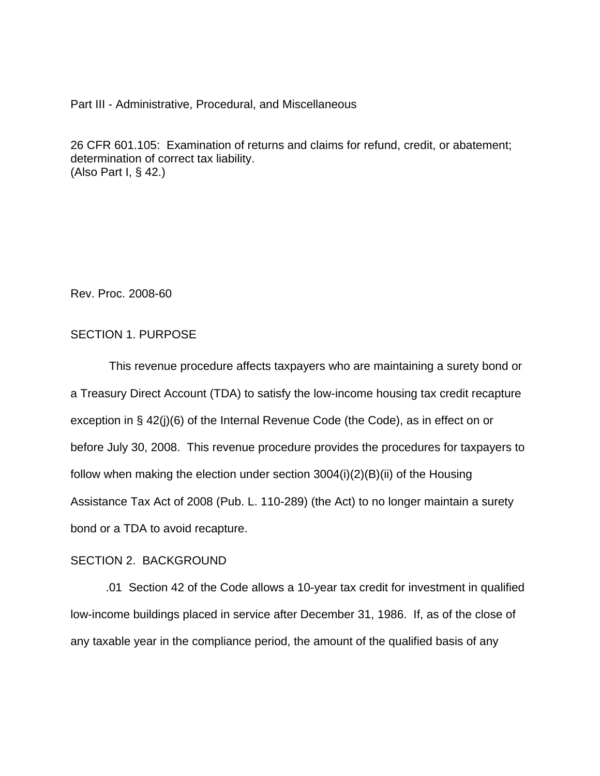Part III - Administrative, Procedural, and Miscellaneous

26 CFR 601.105: Examination of returns and claims for refund, credit, or abatement; determination of correct tax liability. (Also Part I, § 42.)

Rev. Proc. 2008-60

## SECTION 1. PURPOSE

 This revenue procedure affects taxpayers who are maintaining a surety bond or a Treasury Direct Account (TDA) to satisfy the low-income housing tax credit recapture exception in § 42(j)(6) of the Internal Revenue Code (the Code), as in effect on or before July 30, 2008. This revenue procedure provides the procedures for taxpayers to follow when making the election under section 3004(i)(2)(B)(ii) of the Housing Assistance Tax Act of 2008 (Pub. L. 110-289) (the Act) to no longer maintain a surety bond or a TDA to avoid recapture.

# SECTION 2. BACKGROUND

.01 Section 42 of the Code allows a 10-year tax credit for investment in qualified low-income buildings placed in service after December 31, 1986. If, as of the close of any taxable year in the compliance period, the amount of the qualified basis of any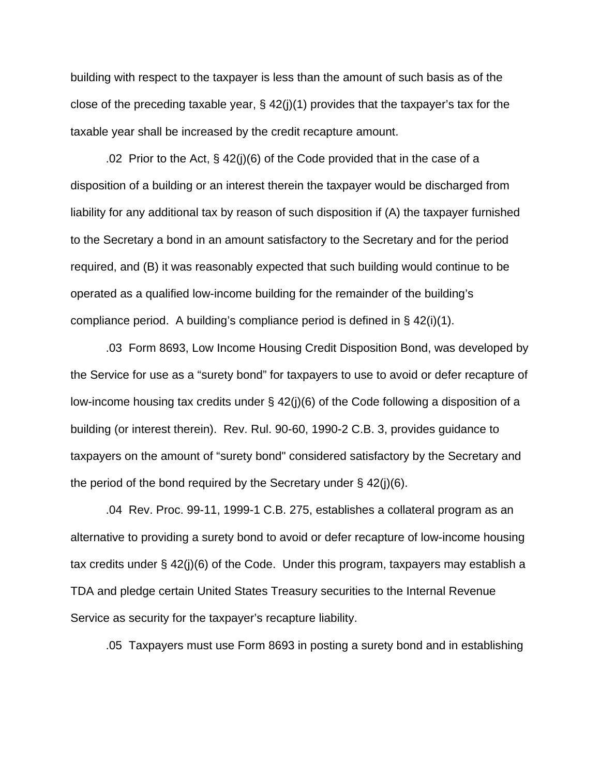building with respect to the taxpayer is less than the amount of such basis as of the close of the preceding taxable year, § 42(j)(1) provides that the taxpayer's tax for the taxable year shall be increased by the credit recapture amount.

.02 Prior to the Act, § 42(j)(6) of the Code provided that in the case of a disposition of a building or an interest therein the taxpayer would be discharged from liability for any additional tax by reason of such disposition if (A) the taxpayer furnished to the Secretary a bond in an amount satisfactory to the Secretary and for the period required, and (B) it was reasonably expected that such building would continue to be operated as a qualified low-income building for the remainder of the building's compliance period. A building's compliance period is defined in  $\S$  42(i)(1).

.03 Form 8693, Low Income Housing Credit Disposition Bond, was developed by the Service for use as a "surety bond" for taxpayers to use to avoid or defer recapture of low-income housing tax credits under § 42(j)(6) of the Code following a disposition of a building (or interest therein). Rev. Rul. 90-60, 1990-2 C.B. 3, provides guidance to taxpayers on the amount of "surety bond" considered satisfactory by the Secretary and the period of the bond required by the Secretary under  $\S$  42(j)(6).

.04 Rev. Proc. 99-11, 1999-1 C.B. 275, establishes a collateral program as an alternative to providing a surety bond to avoid or defer recapture of low-income housing tax credits under § 42(j)(6) of the Code. Under this program, taxpayers may establish a TDA and pledge certain United States Treasury securities to the Internal Revenue Service as security for the taxpayer's recapture liability.

.05 Taxpayers must use Form 8693 in posting a surety bond and in establishing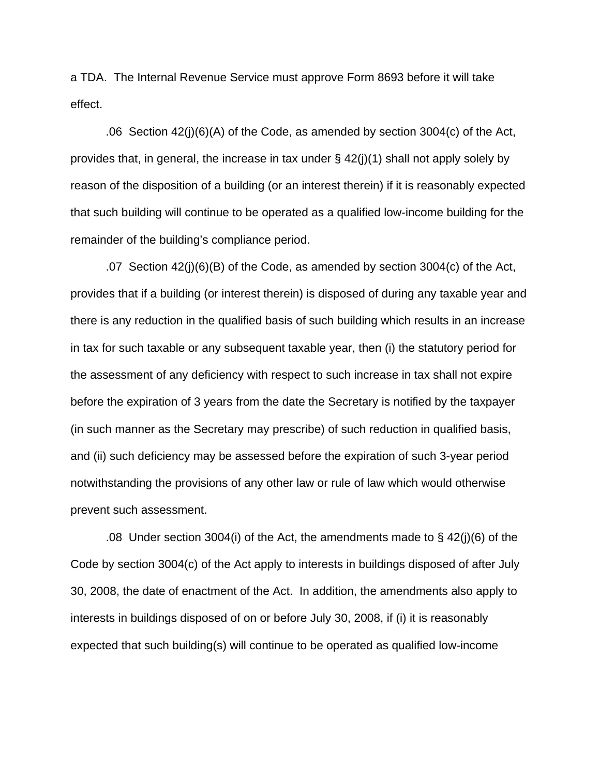a TDA. The Internal Revenue Service must approve Form 8693 before it will take effect.

.06 Section 42(j)(6)(A) of the Code, as amended by section 3004(c) of the Act, provides that, in general, the increase in tax under § 42(j)(1) shall not apply solely by reason of the disposition of a building (or an interest therein) if it is reasonably expected that such building will continue to be operated as a qualified low-income building for the remainder of the building's compliance period.

.07 Section 42(j)(6)(B) of the Code, as amended by section 3004(c) of the Act, provides that if a building (or interest therein) is disposed of during any taxable year and there is any reduction in the qualified basis of such building which results in an increase in tax for such taxable or any subsequent taxable year, then (i) the statutory period for the assessment of any deficiency with respect to such increase in tax shall not expire before the expiration of 3 years from the date the Secretary is notified by the taxpayer (in such manner as the Secretary may prescribe) of such reduction in qualified basis, and (ii) such deficiency may be assessed before the expiration of such 3-year period notwithstanding the provisions of any other law or rule of law which would otherwise prevent such assessment.

.08 Under section 3004(i) of the Act, the amendments made to § 42(j)(6) of the Code by section 3004(c) of the Act apply to interests in buildings disposed of after July 30, 2008, the date of enactment of the Act. In addition, the amendments also apply to interests in buildings disposed of on or before July 30, 2008, if (i) it is reasonably expected that such building(s) will continue to be operated as qualified low-income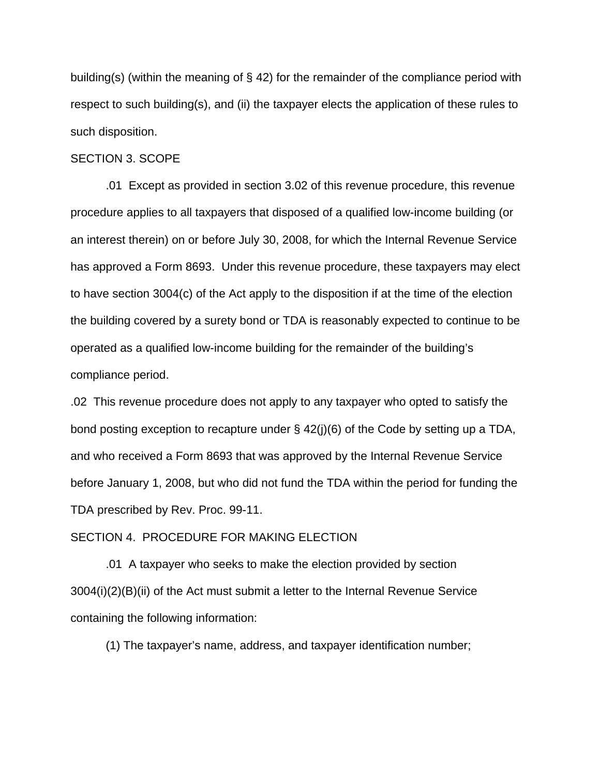building(s) (within the meaning of  $\S$  42) for the remainder of the compliance period with respect to such building(s), and (ii) the taxpayer elects the application of these rules to such disposition.

#### SECTION 3. SCOPE

 .01 Except as provided in section 3.02 of this revenue procedure, this revenue procedure applies to all taxpayers that disposed of a qualified low-income building (or an interest therein) on or before July 30, 2008, for which the Internal Revenue Service has approved a Form 8693. Under this revenue procedure, these taxpayers may elect to have section 3004(c) of the Act apply to the disposition if at the time of the election the building covered by a surety bond or TDA is reasonably expected to continue to be operated as a qualified low-income building for the remainder of the building's compliance period.

.02 This revenue procedure does not apply to any taxpayer who opted to satisfy the bond posting exception to recapture under § 42(j)(6) of the Code by setting up a TDA, and who received a Form 8693 that was approved by the Internal Revenue Service before January 1, 2008, but who did not fund the TDA within the period for funding the TDA prescribed by Rev. Proc. 99-11.

## SECTION 4. PROCEDURE FOR MAKING ELECTION

.01 A taxpayer who seeks to make the election provided by section 3004(i)(2)(B)(ii) of the Act must submit a letter to the Internal Revenue Service containing the following information:

(1) The taxpayer's name, address, and taxpayer identification number;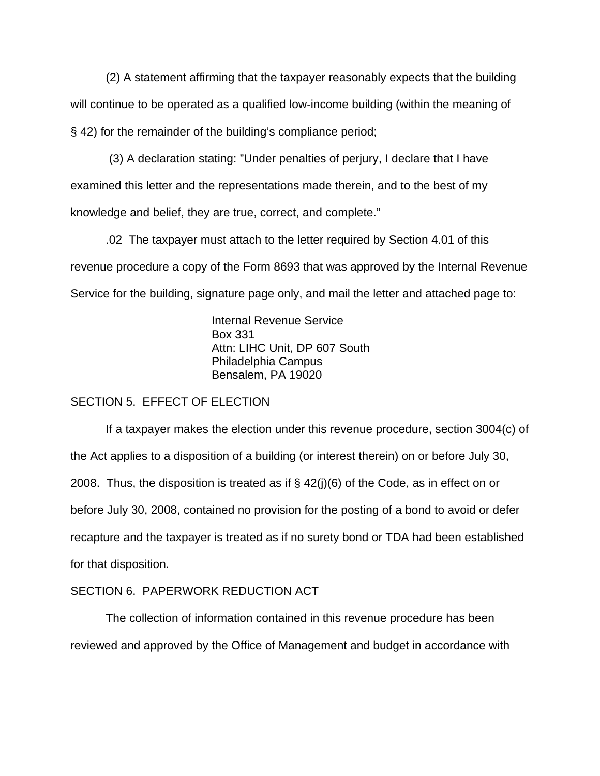(2) A statement affirming that the taxpayer reasonably expects that the building will continue to be operated as a qualified low-income building (within the meaning of § 42) for the remainder of the building's compliance period;

 (3) A declaration stating: "Under penalties of perjury, I declare that I have examined this letter and the representations made therein, and to the best of my knowledge and belief, they are true, correct, and complete."

 .02 The taxpayer must attach to the letter required by Section 4.01 of this revenue procedure a copy of the Form 8693 that was approved by the Internal Revenue Service for the building, signature page only, and mail the letter and attached page to:

> Internal Revenue Service Box 331 Attn: LIHC Unit, DP 607 South Philadelphia Campus Bensalem, PA 19020

## SECTION 5. EFFECT OF ELECTION

If a taxpayer makes the election under this revenue procedure, section 3004(c) of the Act applies to a disposition of a building (or interest therein) on or before July 30, 2008. Thus, the disposition is treated as if  $\S$  42(j)(6) of the Code, as in effect on or before July 30, 2008, contained no provision for the posting of a bond to avoid or defer recapture and the taxpayer is treated as if no surety bond or TDA had been established for that disposition.

# SECTION 6. PAPERWORK REDUCTION ACT

 The collection of information contained in this revenue procedure has been reviewed and approved by the Office of Management and budget in accordance with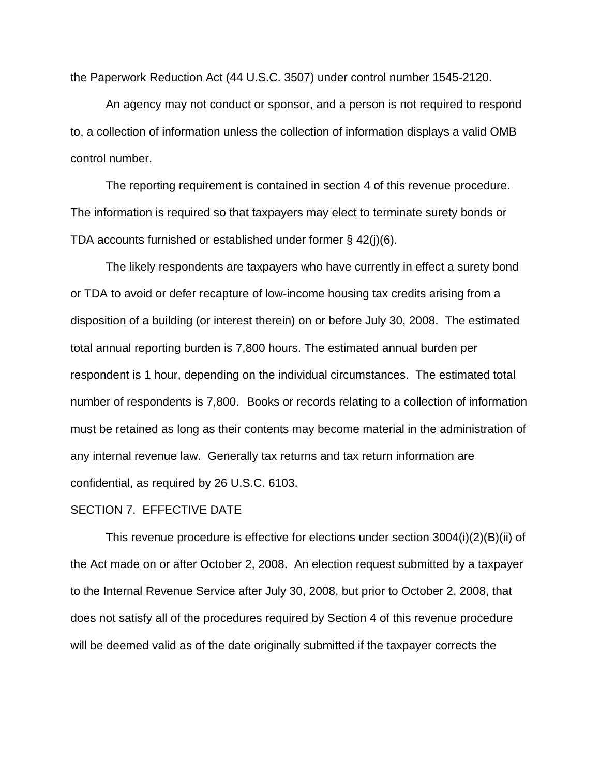the Paperwork Reduction Act (44 U.S.C. 3507) under control number 1545-2120.

 An agency may not conduct or sponsor, and a person is not required to respond to, a collection of information unless the collection of information displays a valid OMB control number.

 The reporting requirement is contained in section 4 of this revenue procedure. The information is required so that taxpayers may elect to terminate surety bonds or TDA accounts furnished or established under former § 42(j)(6).

 The likely respondents are taxpayers who have currently in effect a surety bond or TDA to avoid or defer recapture of low-income housing tax credits arising from a disposition of a building (or interest therein) on or before July 30, 2008. The estimated total annual reporting burden is 7,800 hours. The estimated annual burden per respondent is 1 hour, depending on the individual circumstances. The estimated total number of respondents is 7,800. Books or records relating to a collection of information must be retained as long as their contents may become material in the administration of any internal revenue law. Generally tax returns and tax return information are confidential, as required by 26 U.S.C. 6103.

#### SECTION 7. EFFECTIVE DATE

This revenue procedure is effective for elections under section 3004(i)(2)(B)(ii) of the Act made on or after October 2, 2008. An election request submitted by a taxpayer to the Internal Revenue Service after July 30, 2008, but prior to October 2, 2008, that does not satisfy all of the procedures required by Section 4 of this revenue procedure will be deemed valid as of the date originally submitted if the taxpayer corrects the